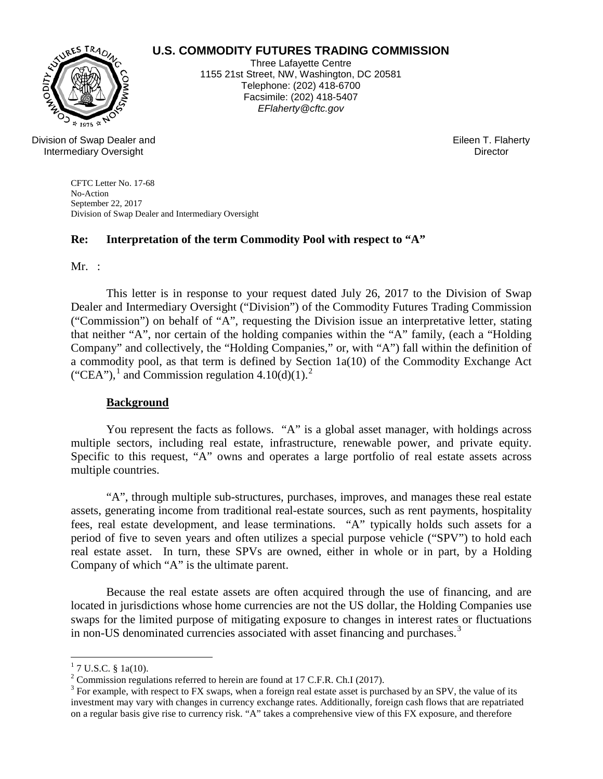# WURES TRAD

## **U.S. COMMODITY FUTURES TRADING COMMISSION**

Three Lafayette Centre 1155 21st Street, NW, Washington, DC 20581 Telephone: (202) 418-6700 Facsimile: (202) 418-5407 *EFlaherty@cftc.gov*

Division of Swap Dealer and Intermediary Oversight

Eileen T. Flaherty **Director** 

CFTC Letter No. 17-68 No-Action September 22, 2017 Division of Swap Dealer and Intermediary Oversight

## **Re: Interpretation of the term Commodity Pool with respect to "A"**

 $Mr.$ :

This letter is in response to your request dated July 26, 2017 to the Division of Swap Dealer and Intermediary Oversight ("Division") of the Commodity Futures Trading Commission ("Commission") on behalf of "A", requesting the Division issue an interpretative letter, stating that neither "A", nor certain of the holding companies within the "A" family, (each a "Holding Company" and collectively, the "Holding Companies," or, with "A") fall within the definition of a commodity pool, as that term is defined by Section 1a(10) of the Commodity Exchange Act ("CEA"),<sup>[1](#page-0-0)</sup> and Commission regulation  $4.10(d)(1)$ .<sup>[2](#page-0-1)</sup>

#### **Background**

You represent the facts as follows. "A" is a global asset manager, with holdings across multiple sectors, including real estate, infrastructure, renewable power, and private equity. Specific to this request, "A" owns and operates a large portfolio of real estate assets across multiple countries.

"A", through multiple sub-structures, purchases, improves, and manages these real estate assets, generating income from traditional real-estate sources, such as rent payments, hospitality fees, real estate development, and lease terminations. "A" typically holds such assets for a period of five to seven years and often utilizes a special purpose vehicle ("SPV") to hold each real estate asset. In turn, these SPVs are owned, either in whole or in part, by a Holding Company of which "A" is the ultimate parent.

Because the real estate assets are often acquired through the use of financing, and are located in jurisdictions whose home currencies are not the US dollar, the Holding Companies use swaps for the limited purpose of mitigating exposure to changes in interest rates or fluctuations in non-US denominated currencies associated with asset financing and purchases. [3](#page-0-2)

 $\overline{a}$ 

<span id="page-0-0"></span><sup>&</sup>lt;sup>1</sup> 7 U.S.C. § 1a(10).<br><sup>2</sup> Commission regulations referred to herein are found at 17 C.F.R. Ch.I (2017).

<span id="page-0-2"></span><span id="page-0-1"></span><sup>&</sup>lt;sup>3</sup> For example, with respect to FX swaps, when a foreign real estate asset is purchased by an SPV, the value of its investment may vary with changes in currency exchange rates. Additionally, foreign cash flows that are repatriated on a regular basis give rise to currency risk. "A" takes a comprehensive view of this FX exposure, and therefore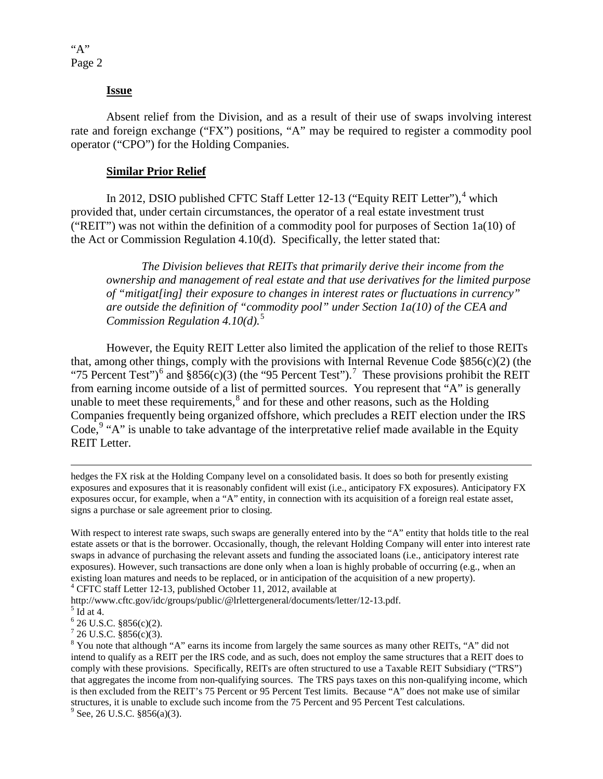#### **Issue**

Absent relief from the Division, and as a result of their use of swaps involving interest rate and foreign exchange ("FX") positions, "A" may be required to register a commodity pool operator ("CPO") for the Holding Companies.

#### **Similar Prior Relief**

In 2012, DSIO published CFTC Staff Letter 12-13 ("Equity REIT Letter"),<sup>[4](#page-1-0)</sup> which provided that, under certain circumstances, the operator of a real estate investment trust ("REIT") was not within the definition of a commodity pool for purposes of Section 1a(10) of the Act or Commission Regulation 4.10(d). Specifically, the letter stated that:

*The Division believes that REITs that primarily derive their income from the ownership and management of real estate and that use derivatives for the limited purpose of "mitigat[ing] their exposure to changes in interest rates or fluctuations in currency" are outside the definition of "commodity pool" under Section 1a(10) of the CEA and Commission Regulation 4.10(d).*[5](#page-1-1)

However, the Equity REIT Letter also limited the application of the relief to those REITs that, among other things, comply with the provisions with Internal Revenue Code §856(c)(2) (the "75 Percent Test")<sup>[6](#page-1-2)</sup> and  $$856(c)(3)$  (the "95 Percent Test").<sup>[7](#page-1-3)</sup> These provisions prohibit the REIT from earning income outside of a list of permitted sources. You represent that "A" is generally unable to meet these requirements, $<sup>8</sup>$  $<sup>8</sup>$  $<sup>8</sup>$  and for these and other reasons, such as the Holding</sup> Companies frequently being organized offshore, which precludes a REIT election under the IRS Code,  $9$  "A" is unable to take advantage of the interpretative relief made available in the Equity REIT Letter.

 hedges the FX risk at the Holding Company level on a consolidated basis. It does so both for presently existing exposures and exposures that it is reasonably confident will exist (i.e., anticipatory FX exposures). Anticipatory FX exposures occur, for example, when a "A" entity, in connection with its acquisition of a foreign real estate asset, signs a purchase or sale agreement prior to closing.

With respect to interest rate swaps, such swaps are generally entered into by the "A" entity that holds title to the real estate assets or that is the borrower. Occasionally, though, the relevant Holding Company will enter into interest rate swaps in advance of purchasing the relevant assets and funding the associated loans (i.e., anticipatory interest rate exposures). However, such transactions are done only when a loan is highly probable of occurring (e.g., when an existing loan matures and needs to be replaced, or in anticipation of the acquisition of a new property). <sup>4</sup> CFTC staff Letter 12-13, published October 11, 2012, available at

<span id="page-1-0"></span>http://www.cftc.gov/idc/groups/public/@lrlettergeneral/documents/letter/12-13.pdf. 5 Id at 4.<br>
6 26 U.S.C. §856(c)(2).

<span id="page-1-3"></span><span id="page-1-2"></span> $726$  U.S.C. §856(c)(3).

<span id="page-1-5"></span>

<span id="page-1-1"></span>

<span id="page-1-4"></span><sup>&</sup>lt;sup>8</sup> You note that although "A" earns its income from largely the same sources as many other REITs, "A" did not intend to qualify as a REIT per the IRS code, and as such, does not employ the same structures that a REIT does to comply with these provisions. Specifically, REITs are often structured to use a Taxable REIT Subsidiary ("TRS") that aggregates the income from non-qualifying sources. The TRS pays taxes on this non-qualifying income, which is then excluded from the REIT's 75 Percent or 95 Percent Test limits. Because "A" does not make use of similar structures, it is unable to exclude such income from the 75 Percent and 95 Percent Test calculations. <sup>9</sup> See, 26 U.S.C. §856(a)(3).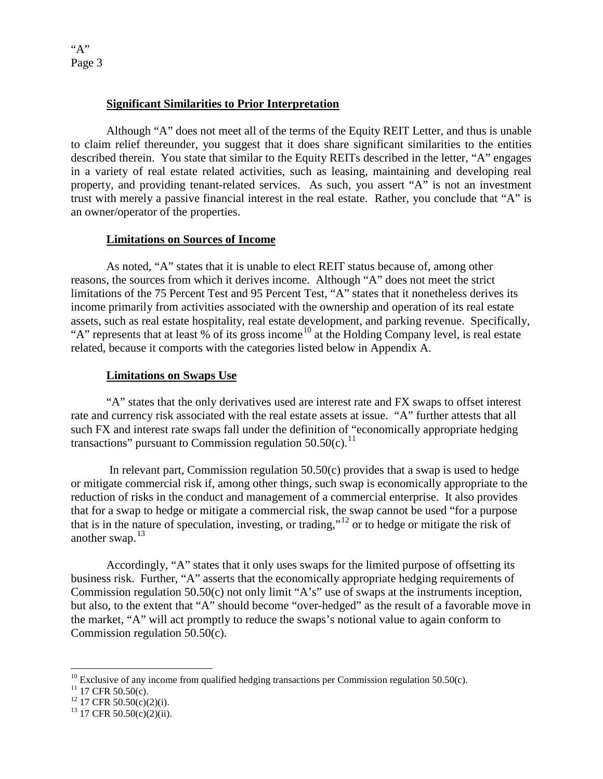"A" Page 3

#### **Significant Similarities to Prior Interpretation**

 Although "A" does not meet all of the terms of the Equity REIT Letter, and thus is unable to claim relief thereunder, you suggest that it does share significant similarities to the entities described therein. You state that similar to the Equity REITs described in the letter, "A" engages in a variety of real estate related activities, such as leasing, maintaining and developing real property, and providing tenant-related services. As such, you assert "A" is not an investment trust with merely a passive financial interest in the real estate. Rather, you conclude that "A" is an owner/operator of the properties.

## **Limitations on Sources of Income**

As noted, "A" states that it is unable to elect REIT status because of, among other reasons, the sources from which it derives income. Although "A" does not meet the strict limitations of the 75 Percent Test and 95 Percent Test, "A" states that it nonetheless derives its income primarily from activities associated with the ownership and operation of its real estate assets, such as real estate hospitality, real estate development, and parking revenue. Specifically, "A" represents that at least % of its gross income<sup>[10](#page-2-0)</sup> at the Holding Company level, is real estate related, because it comports with the categories listed below in Appendix A.

## **Limitations on Swaps Use**

"A" states that the only derivatives used are interest rate and FX swaps to offset interest rate and currency risk associated with the real estate assets at issue. "A" further attests that all such FX and interest rate swaps fall under the definition of "economically appropriate hedging transactions" pursuant to Commission regulation  $50.50(c)$ .<sup>11</sup>

In relevant part, Commission regulation  $50.50(c)$  provides that a swap is used to hedge or mitigate commercial risk if, among other things, such swap is economically appropriate to the reduction of risks in the conduct and management of a commercial enterprise. It also provides that for a swap to hedge or mitigate a commercial risk, the swap cannot be used "for a purpose that is in the nature of speculation, investing, or trading,"[12](#page-2-2) or to hedge or mitigate the risk of another swap.<sup>[13](#page-2-3)</sup>

Accordingly, "A" states that it only uses swaps for the limited purpose of offsetting its business risk. Further, "A" asserts that the economically appropriate hedging requirements of Commission regulation 50.50(c) not only limit "A's" use of swaps at the instruments inception, but also, to the extent that "A" should become "over-hedged" as the result of a favorable move in the market, "A" will act promptly to reduce the swaps's notional value to again conform to Commission regulation 50.50(c).

<span id="page-2-0"></span> $\overline{a}$ <sup>10</sup> Exclusive of any income from qualified hedging transactions per Commission regulation 50.50(c).<br><sup>11</sup> 17 CFR 50.50(c).<br><sup>12</sup> 17 CFR 50.50(c)(2)(i). <sup>13</sup> 17 CFR 50.50(c)(2)(ii).

<span id="page-2-1"></span>

<span id="page-2-2"></span>

<span id="page-2-3"></span>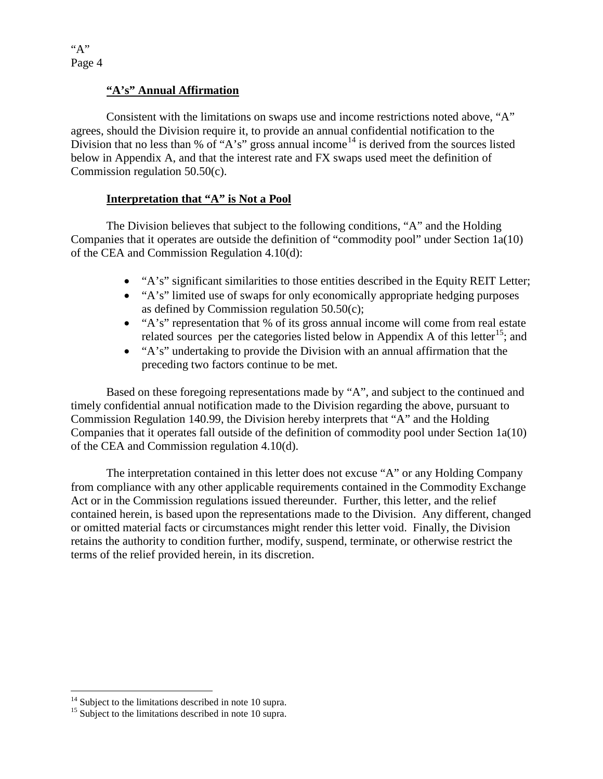"A" Page 4

## **"A's" Annual Affirmation**

Consistent with the limitations on swaps use and income restrictions noted above, "A" agrees, should the Division require it, to provide an annual confidential notification to the Division that no less than % of "A's" gross annual income<sup>[14](#page-3-0)</sup> is derived from the sources listed below in Appendix A, and that the interest rate and FX swaps used meet the definition of Commission regulation 50.50(c).

#### **Interpretation that "A" is Not a Pool**

The Division believes that subject to the following conditions, "A" and the Holding Companies that it operates are outside the definition of "commodity pool" under Section 1a(10) of the CEA and Commission Regulation 4.10(d):

- "A's" significant similarities to those entities described in the Equity REIT Letter;
- "A's" limited use of swaps for only economically appropriate hedging purposes as defined by Commission regulation 50.50(c);
- "A's" representation that % of its gross annual income will come from real estate related sources per the categories listed below in Appendix A of this letter<sup>15</sup>; and
- "A's" undertaking to provide the Division with an annual affirmation that the preceding two factors continue to be met.

Based on these foregoing representations made by "A", and subject to the continued and timely confidential annual notification made to the Division regarding the above, pursuant to Commission Regulation 140.99, the Division hereby interprets that "A" and the Holding Companies that it operates fall outside of the definition of commodity pool under Section 1a(10) of the CEA and Commission regulation 4.10(d).

The interpretation contained in this letter does not excuse "A" or any Holding Company from compliance with any other applicable requirements contained in the Commodity Exchange Act or in the Commission regulations issued thereunder. Further, this letter, and the relief contained herein, is based upon the representations made to the Division. Any different, changed or omitted material facts or circumstances might render this letter void. Finally, the Division retains the authority to condition further, modify, suspend, terminate, or otherwise restrict the terms of the relief provided herein, in its discretion.

<span id="page-3-0"></span> $14$  Subject to the limitations described in note 10 supra.

<span id="page-3-1"></span> $15$  Subject to the limitations described in note 10 supra.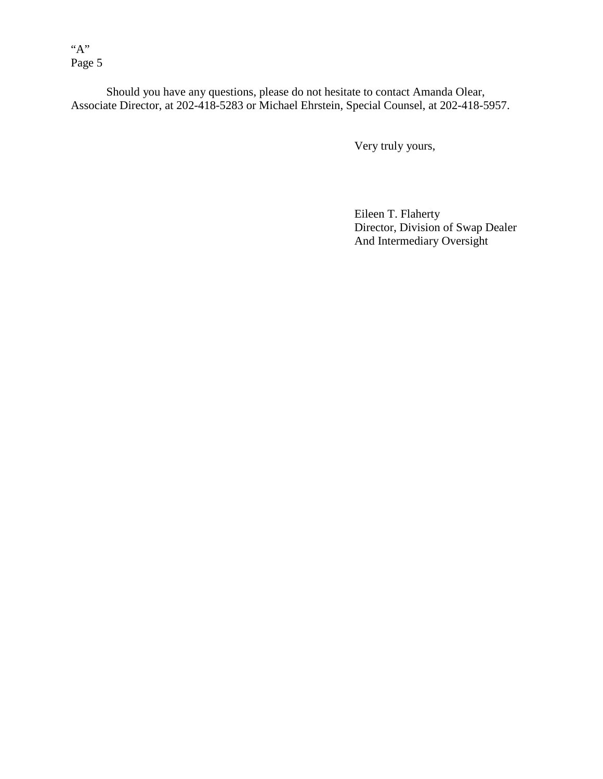"A" Page 5

Should you have any questions, please do not hesitate to contact Amanda Olear, Associate Director, at 202-418-5283 or Michael Ehrstein, Special Counsel, at 202-418-5957.

Very truly yours,

 Eileen T. Flaherty Director, Division of Swap Dealer And Intermediary Oversight